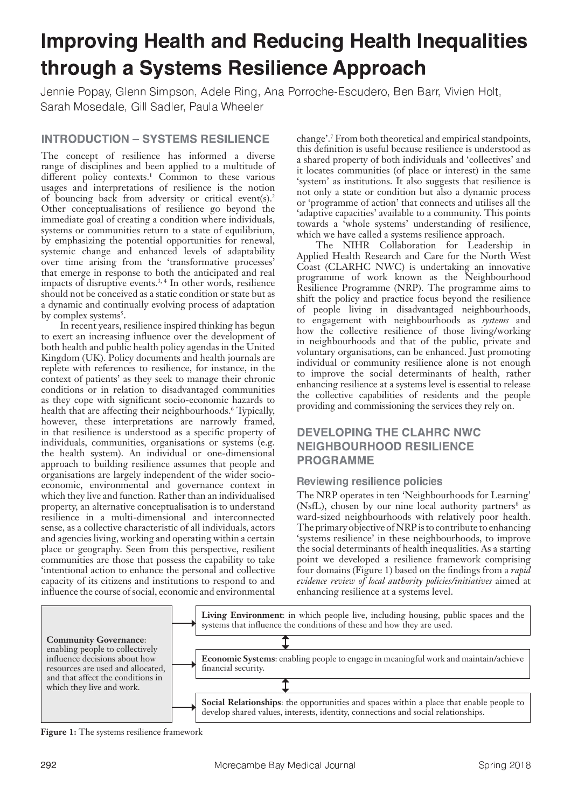# **Improving Health and Reducing Health Inequalities** through a Systems Resilience Approach

Jennie Popav. Glenn Simpson, Adele Ring, Ana Porroche-Escudero, Ben Barr, Vivien Holt, Sarah Mosedale, Gill Sadler, Paula Wheele

# **INTRODUCTION - SYSTEMS RESILIENCE**

The concept of resilience has informed a diverse range of disciplines and been applied to a multitude of different policy contexts.<sup>1</sup> Common to these various usages and interpretations of resilience is the notion of bouncing back from adversity or critical event(s).<sup>2</sup> Other conceptualisations of resilience go beyond the immediate goal of creating a condition where individuals, systems or communities return to a state of equilibrium, by emphasizing the potential opportunities for renewal, systemic change and enhanced levels of adaptability over time arising from the 'transformative processes' that emerge in response to both the anticipated and real impacts of disruptive events.<sup>3, 4</sup> In other words, resilience should not be conceived as a static condition or state but as a dynamic and continually evolving process of adaptation by complex systems<sup>5</sup>.

 In recent years, resilience inspired thinking has begun to exert an increasing influence over the development of both health and public health policy agendas in the United Kingdom (UK). Policy documents and health journals are replete with references to resilience, for instance, in the context of patients' as they seek to manage their chronic conditions or in relation to disadvantaged communities as they cope with significant socio-economic hazards to health that are affecting their neighbourhoods.<sup>6</sup> Typically, however, these interpretations are narrowly framed, in that resilience is understood as a specific property of individuals, communities, organisations or systems (e.g. the health system). An individual or one-dimensional approach to building resilience assumes that people and organisations are largely independent of the wider socioeconomic, environmental and governance context in which they live and function. Rather than an individualised property, an alternative conceptualisation is to understand resilience in a multi-dimensional and interconnected sense, as a collective characteristic of all individuals, actors and agencies living, working and operating within a certain place or geography. Seen from this perspective, resilient communities are those that possess the capability to take 'intentional action to enhance the personal and collective capacity of its citizens and institutions to respond to and influence the course of social, economic and environmental

change'.<sup>7</sup> From both theoretical and empirical standpoints, this definition is useful because resilience is understood as a shared property of both individuals and 'collectives' and it locates communities (of place or interest) in the same 'system' as institutions. It also suggests that resilience is not only a state or condition but also a dynamic process or 'programme of action' that connects and utilises all the 'adaptive capacities' available to a community. This points towards a 'whole systems' understanding of resilience, which we have called a systems resilience approach.

 The NIHR Collaboration for Leadership in Applied Health Research and Care for the North West Coast (CLARHC NWC) is undertaking an innovative programme of work known as the Neighbourhood Resilience Programme (NRP). The programme aims to shift the policy and practice focus beyond the resilience of people living in disadvantaged neighbourhoods, to engagement with neighbourhoods as *systems* and how the collective resilience of those living/working in neighbourhoods and that of the public, private and voluntary organisations, can be enhanced. Just promoting individual or community resilience alone is not enough to improve the social determinants of health, rather enhancing resilience at a systems level is essential to release the collective capabilities of residents and the people providing and commissioning the services they rely on.

# **DEVELOPING THE CLAHRC NWC NEIGHBOURHOOD RESILIENCE PROGRAMME**

## Reviewing resilience policies

The NRP operates in ten 'Neighbourhoods for Learning' (NsfL), chosen by our nine local authority partners<sup>8</sup> as ward-sized neighbourhoods with relatively poor health. The primary objective of NRP is to contribute to enhancing 'systems resilience' in these neighbourhoods, to improve the social determinants of health inequalities. As a starting point we developed a resilience framework comprising four domains (Figure 1) based on the findings from a *rapid evidence review of local authority policies/initiatives* aimed at enhancing resilience at a systems level.



**Figure 1:** The systems resilience framework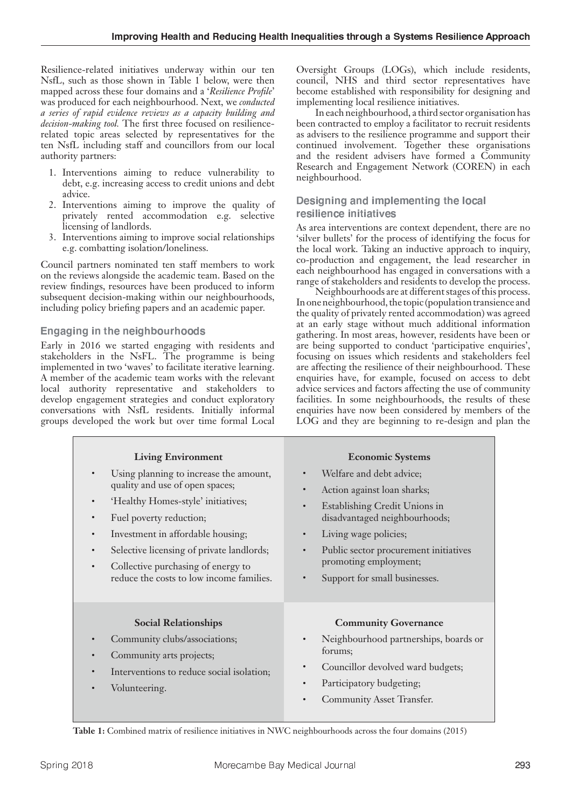Resilience-related initiatives underway within our ten NsfL, such as those shown in Table 1 below, were then mapped across these four domains and a '*Resilience Profile*' was produced for each neighbourhood. Next, we *conducted a series of rapid evidence reviews as a capacity building and decision-making tool.* The first three focused on resiliencerelated topic areas selected by representatives for the ten NsfL including staff and councillors from our local authority partners:

- 1. Interventions aiming to reduce vulnerability to debt, e.g. increasing access to credit unions and debt advice.
- 2. Interventions aiming to improve the quality of privately rented accommodation e.g. selective licensing of landlords.
- 3. Interventions aiming to improve social relationships e.g. combatting isolation/loneliness.

Council partners nominated ten staff members to work on the reviews alongside the academic team. Based on the review findings, resources have been produced to inform subsequent decision-making within our neighbourhoods, including policy briefing papers and an academic paper.

## Engaging in the neighbourhoods

Early in 2016 we started engaging with residents and stakeholders in the NsFL. The programme is being implemented in two 'waves' to facilitate iterative learning. A member of the academic team works with the relevant local authority representative and stakeholders to develop engagement strategies and conduct exploratory conversations with NsfL residents. Initially informal groups developed the work but over time formal Local

Oversight Groups (LOGs), which include residents, council, NHS and third sector representatives have become established with responsibility for designing and implementing local resilience initiatives.

 In each neighbourhood, a third sector organisation has been contracted to employ a facilitator to recruit residents as advisers to the resilience programme and support their continued involvement. Together these organisations and the resident advisers have formed a Community Research and Engagement Network (COREN) in each neighbourhood.

#### Designing and implementing the local resilience initiatives

As area interventions are context dependent, there are no 'silver bullets' for the process of identifying the focus for the local work. Taking an inductive approach to inquiry, co-production and engagement, the lead researcher in each neighbourhood has engaged in conversations with a range of stakeholders and residents to develop the process.

 Neighbourhoods are at different stages of this process. In one neighbourhood, the topic (population transience and the quality of privately rented accommodation) was agreed at an early stage without much additional information gathering. In most areas, however, residents have been or are being supported to conduct 'participative enquiries', focusing on issues which residents and stakeholders feel are affecting the resilience of their neighbourhood. These enquiries have, for example, focused on access to debt advice services and factors affecting the use of community facilities. In some neighbourhoods, the results of these enquiries have now been considered by members of the LOG and they are beginning to re-design and plan the

| <b>Living Environment</b><br>Using planning to increase the amount,<br>quality and use of open spaces;<br>'Healthy Homes-style' initiatives;<br>$\bullet$<br>Fuel poverty reduction;<br>$\bullet$<br>Investment in affordable housing;<br>$\bullet$<br>Selective licensing of private landlords;<br>$\bullet$<br>Collective purchasing of energy to<br>$\bullet$<br>reduce the costs to low income families. | <b>Economic Systems</b><br>Welfare and debt advice;<br>Action against loan sharks;<br>$\bullet$<br>Establishing Credit Unions in<br>disadvantaged neighbourhoods;<br>Living wage policies;<br>$\bullet$<br>Public sector procurement initiatives<br>$\bullet$<br>promoting employment;<br>Support for small businesses.<br>$\bullet$ |
|--------------------------------------------------------------------------------------------------------------------------------------------------------------------------------------------------------------------------------------------------------------------------------------------------------------------------------------------------------------------------------------------------------------|--------------------------------------------------------------------------------------------------------------------------------------------------------------------------------------------------------------------------------------------------------------------------------------------------------------------------------------|
| <b>Social Relationships</b><br>Community clubs/associations;<br>Community arts projects;<br>$\bullet$<br>Interventions to reduce social isolation;<br>$\bullet$<br>Volunteering.                                                                                                                                                                                                                             | <b>Community Governance</b><br>Neighbourhood partnerships, boards or<br>forums;<br>Councillor devolved ward budgets;<br>$\bullet$<br>Participatory budgeting;<br>$\bullet$<br>Community Asset Transfer.<br>$\bullet$                                                                                                                 |

**Table 1:** Combined matrix of resilience initiatives in NWC neighbourhoods across the four domains (2015)